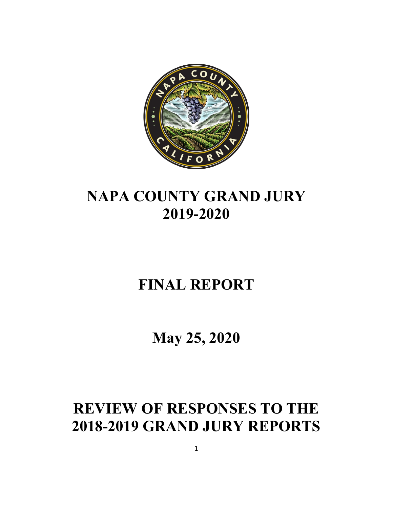

# **NAPA COUNTY GRAND JURY 2019-2020**

# **FINAL REPORT**

**May 25, 2020**

# **REVIEW OF RESPONSES TO THE 2018-2019 GRAND JURY REPORTS**

1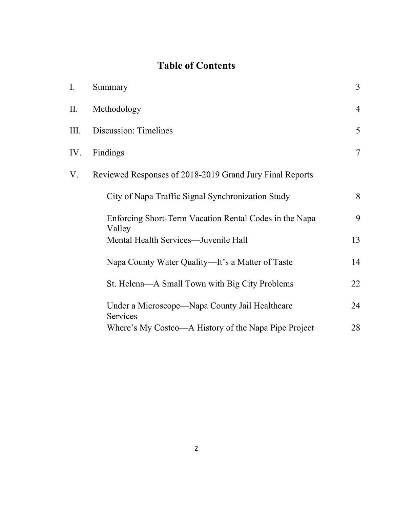# **Table of Contents**

| $\mathbf{I}$ . | Summary                                                          | $\overline{3}$ |
|----------------|------------------------------------------------------------------|----------------|
| II.            | Methodology                                                      | $\overline{4}$ |
| III.           | Discussion: Timelines                                            | 5              |
| IV.            | Findings                                                         | $\overline{7}$ |
| V.             | Reviewed Responses of 2018-2019 Grand Jury Final Reports         |                |
|                | City of Napa Traffic Signal Synchronization Study                | 8              |
|                | Enforcing Short-Term Vacation Rental Codes in the Napa<br>Valley | 9              |
|                | Mental Health Services—Juvenile Hall                             | 13             |
|                | Napa County Water Quality—It's a Matter of Taste                 | 14             |
|                | St. Helena—A Small Town with Big City Problems                   | 22             |
|                | Under a Microscope—Napa County Jail Healthcare<br>Services       | 24             |
|                | Where's My Costco—A History of the Napa Pipe Project             | 28             |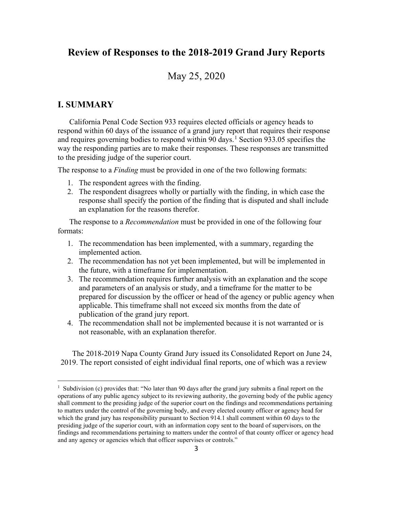### **Review of Responses to the 2018-2019 Grand Jury Reports**

### May 25, 2020

#### **I. SUMMARY**

California Penal Code Section 933 requires elected officials or agency heads to respond within 60 days of the issuance of a grand jury report that requires their response and requires governing bodies to respond within 90 days.<sup>[1](#page-2-0)</sup> Section 933.05 specifies the way the responding parties are to make their responses. These responses are transmitted to the presiding judge of the superior court.

The response to a *Finding* must be provided in one of the two following formats:

- 1. The respondent agrees with the finding.
- 2. The respondent disagrees wholly or partially with the finding, in which case the response shall specify the portion of the finding that is disputed and shall include an explanation for the reasons therefor.

The response to a *Recommendation* must be provided in one of the following four formats:

- 1. The recommendation has been implemented, with a summary, regarding the implemented action.
- 2. The recommendation has not yet been implemented, but will be implemented in the future, with a timeframe for implementation.
- 3. The recommendation requires further analysis with an explanation and the scope and parameters of an analysis or study, and a timeframe for the matter to be prepared for discussion by the officer or head of the agency or public agency when applicable. This timeframe shall not exceed six months from the date of publication of the grand jury report.
- 4. The recommendation shall not be implemented because it is not warranted or is not reasonable, with an explanation therefor.

The 2018-2019 Napa County Grand Jury issued its Consolidated Report on June 24, 2019. The report consisted of eight individual final reports, one of which was a review

<span id="page-2-0"></span><sup>&</sup>lt;sup>1</sup> Subdivision (c) provides that: "No later than 90 days after the grand jury submits a final report on the operations of any public agency subject to its reviewing authority, the governing body of the public agency shall comment to the presiding judge of the superior court on the findings and recommendations pertaining to matters under the control of the governing body, and every elected county officer or agency head for which the grand jury has responsibility pursuant to Section 914.1 shall comment within 60 days to the presiding judge of the superior court, with an information copy sent to the board of supervisors, on the findings and recommendations pertaining to matters under the control of that county officer or agency head and any agency or agencies which that officer supervises or controls."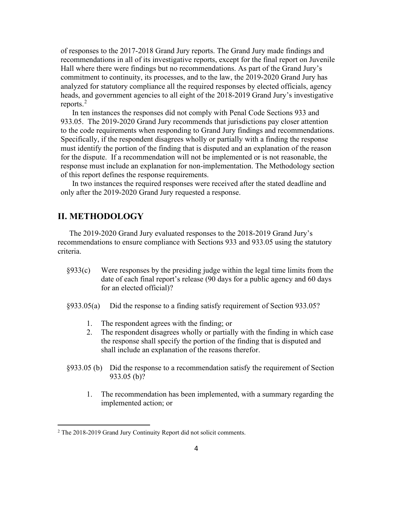of responses to the 2017-2018 Grand Jury reports. The Grand Jury made findings and recommendations in all of its investigative reports, except for the final report on Juvenile Hall where there were findings but no recommendations. As part of the Grand Jury's commitment to continuity, its processes, and to the law, the 2019-2020 Grand Jury has analyzed for statutory compliance all the required responses by elected officials, agency heads, and government agencies to all eight of the 2018-2019 Grand Jury's investigative reports.<sup>[2](#page-3-0)</sup>

In ten instances the responses did not comply with Penal Code Sections 933 and 933.05. The 2019-2020 Grand Jury recommends that jurisdictions pay closer attention to the code requirements when responding to Grand Jury findings and recommendations. Specifically, if the respondent disagrees wholly or partially with a finding the response must identify the portion of the finding that is disputed and an explanation of the reason for the dispute. If a recommendation will not be implemented or is not reasonable, the response must include an explanation for non-implementation. The Methodology section of this report defines the response requirements.

In two instances the required responses were received after the stated deadline and only after the 2019-2020 Grand Jury requested a response.

#### **II. METHODOLOGY**

The 2019-2020 Grand Jury evaluated responses to the 2018-2019 Grand Jury's recommendations to ensure compliance with Sections 933 and 933.05 using the statutory criteria.

- §933(c) Were responses by the presiding judge within the legal time limits from the date of each final report's release (90 days for a public agency and 60 days for an elected official)?
- §933.05(a) Did the response to a finding satisfy requirement of Section 933.05?
	- 1. The respondent agrees with the finding; or
	- 2. The respondent disagrees wholly or partially with the finding in which case the response shall specify the portion of the finding that is disputed and shall include an explanation of the reasons therefor.
- §933.05 (b) Did the response to a recommendation satisfy the requirement of Section 933.05 (b)?
	- 1. The recommendation has been implemented, with a summary regarding the implemented action; or

<span id="page-3-0"></span><sup>&</sup>lt;sup>2</sup> The 2018-2019 Grand Jury Continuity Report did not solicit comments.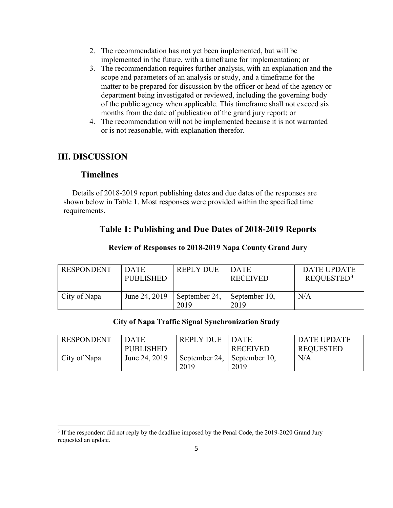- 2. The recommendation has not yet been implemented, but will be implemented in the future, with a timeframe for implementation; or
- 3. The recommendation requires further analysis, with an explanation and the scope and parameters of an analysis or study, and a timeframe for the matter to be prepared for discussion by the officer or head of the agency or department being investigated or reviewed, including the governing body of the public agency when applicable. This timeframe shall not exceed six months from the date of publication of the grand jury report; or
- 4. The recommendation will not be implemented because it is not warranted or is not reasonable, with explanation therefor.

#### **III. DISCUSSION**

#### **Timelines**

Details of 2018-2019 report publishing dates and due dates of the responses are shown below in Table 1. Most responses were provided within the specified time requirements.

#### **Table 1: Publishing and Due Dates of 2018-2019 Reports**

| <b>RESPONDENT</b> | <b>DATE</b><br><b>PUBLISHED</b> | <b>REPLY DUE</b>      | <b>DATE</b><br><b>RECEIVED</b> | DATE UPDATE<br>REQUESTED <sup>3</sup> |
|-------------------|---------------------------------|-----------------------|--------------------------------|---------------------------------------|
| City of Napa      | June 24, 2019                   | September 24,<br>2019 | September 10,<br>2019          | N/A                                   |

#### **Review of Responses to 2018-2019 Napa County Grand Jury**

#### **City of Napa Traffic Signal Synchronization Study**

| <b>RESPONDENT</b> | <b>DATE</b>      | <b>REPLY DUE</b>            | <b>DATE</b>     | DATE UPDATE      |
|-------------------|------------------|-----------------------------|-----------------|------------------|
|                   | <b>PUBLISHED</b> |                             | <b>RECEIVED</b> | <b>REQUESTED</b> |
| City of Napa      | June 24, 2019    | September 24, September 10, |                 | N/A              |
|                   |                  | 2019                        | 2019            |                  |

<span id="page-4-0"></span><sup>&</sup>lt;sup>3</sup> If the respondent did not reply by the deadline imposed by the Penal Code, the 2019-2020 Grand Jury requested an update.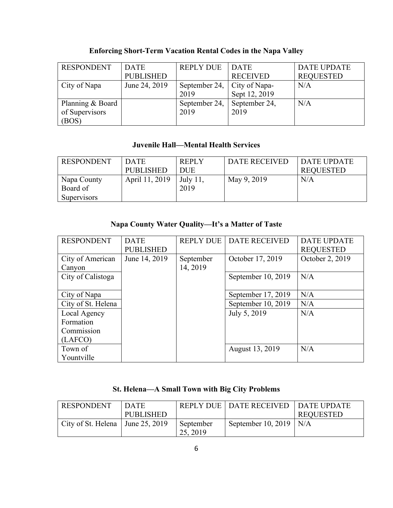| <b>RESPONDENT</b> | <b>DATE</b>      | <b>REPLY DUE</b>            | <b>DATE</b>     | <b>DATE UPDATE</b> |
|-------------------|------------------|-----------------------------|-----------------|--------------------|
|                   | <b>PUBLISHED</b> |                             | <b>RECEIVED</b> | <b>REQUESTED</b>   |
| City of Napa      | June 24, 2019    | September 24, City of Napa- |                 | N/A                |
|                   |                  | 2019                        | Sept 12, 2019   |                    |
| Planning & Board  |                  | September 24,               | September 24,   | N/A                |
| of Supervisors    |                  | 2019                        | 2019            |                    |
| (BOS)             |                  |                             |                 |                    |

## **Enforcing Short-Term Vacation Rental Codes in the Napa Valley**

#### **Juvenile Hall—Mental Health Services**

| <b>RESPONDENT</b>  | <b>DATE</b>      | <b>REPLY</b> | DATE RECEIVED | DATE UPDATE      |
|--------------------|------------------|--------------|---------------|------------------|
|                    | <b>PUBLISHED</b> | <b>DUE</b>   |               | <b>REQUESTED</b> |
| Napa County        | April 11, 2019   | July $11$ ,  | May 9, 2019   | N/A              |
| Board of           |                  | 2019         |               |                  |
| <b>Supervisors</b> |                  |              |               |                  |

#### **Napa County Water Quality—It's a Matter of Taste**

| <b>RESPONDENT</b>  | <b>DATE</b>      | <b>REPLY DUE</b> | DATE RECEIVED      | <b>DATE UPDATE</b> |
|--------------------|------------------|------------------|--------------------|--------------------|
|                    | <b>PUBLISHED</b> |                  |                    | <b>REQUESTED</b>   |
| City of American   | June 14, 2019    | September        | October 17, 2019   | October 2, 2019    |
| Canyon             |                  | 14, 2019         |                    |                    |
| City of Calistoga  |                  |                  | September 10, 2019 | N/A                |
|                    |                  |                  |                    |                    |
| City of Napa       |                  |                  | September 17, 2019 | N/A                |
| City of St. Helena |                  |                  | September 10, 2019 | N/A                |
| Local Agency       |                  |                  | July 5, 2019       | N/A                |
| Formation          |                  |                  |                    |                    |
| Commission         |                  |                  |                    |                    |
| (LAFCO)            |                  |                  |                    |                    |
| Town of            |                  |                  | August 13, 2019    | N/A                |
| Yountville         |                  |                  |                    |                    |

#### **St. Helena—A Small Town with Big City Problems**

| RESPONDENT                                       | <b>DATE</b><br><b>PUBLISHED</b> |                       | REPLY DUE   DATE RECEIVED   DATE UPDATE | <b>REQUESTED</b> |
|--------------------------------------------------|---------------------------------|-----------------------|-----------------------------------------|------------------|
| $\vert$ City of St. Helena $\vert$ June 25, 2019 |                                 | September<br>25, 2019 | September 10, 2019   N/A                |                  |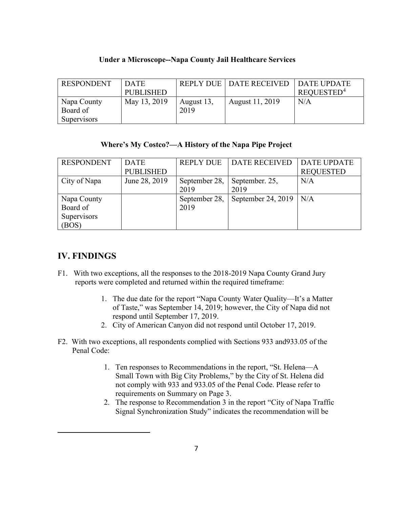| <b>RESPONDENT</b> | <b>DATE</b>  |            | REPLY DUE   DATE RECEIVED   DATE UPDATE |                        |
|-------------------|--------------|------------|-----------------------------------------|------------------------|
|                   | PUBLISHED    |            |                                         | REQUESTED <sup>4</sup> |
| Napa County       | May 13, 2019 | August 13, | August 11, 2019                         | N/A                    |
| Board of          |              | 2019       |                                         |                        |
| Supervisors       |              |            |                                         |                        |

#### **Under a Microscope--Napa County Jail Healthcare Services**

#### **Where's My Costco?—A History of the Napa Pipe Project**

| <b>RESPONDENT</b> | <b>DATE</b>      | <b>REPLY DUE</b> | <b>DATE RECEIVED</b>     | <b>DATE UPDATE</b> |
|-------------------|------------------|------------------|--------------------------|--------------------|
|                   | <b>PUBLISHED</b> |                  |                          | <b>REQUESTED</b>   |
| City of Napa      | June 28, 2019    | September 28,    | September. 25,           | N/A                |
|                   |                  | 2019             | 2019                     |                    |
| Napa County       |                  | September 28,    | September 24, 2019   N/A |                    |
| Board of          |                  | 2019             |                          |                    |
| Supervisors       |                  |                  |                          |                    |
| (BOS)             |                  |                  |                          |                    |

#### **IV. FINDINGS**

- F1. With two exceptions, all the responses to the 2018-2019 Napa County Grand Jury reports were completed and returned within the required timeframe:
	- 1. The due date for the report "Napa County Water Quality—It's a Matter of Taste," was September 14, 2019; however, the City of Napa did not respond until September 17, 2019.
	- 2. City of American Canyon did not respond until October 17, 2019.
- <span id="page-6-0"></span>F2. With two exceptions, all respondents complied with Sections 933 and933.05 of the Penal Code:
	- 1. Ten responses to Recommendations in the report, "St. Helena—A Small Town with Big City Problems," by the City of St. Helena did not comply with 933 and 933.05 of the Penal Code. Please refer to requirements on Summary on Page 3.
	- 2. The response to Recommendation 3 in the report "City of Napa Traffic Signal Synchronization Study" indicates the recommendation will be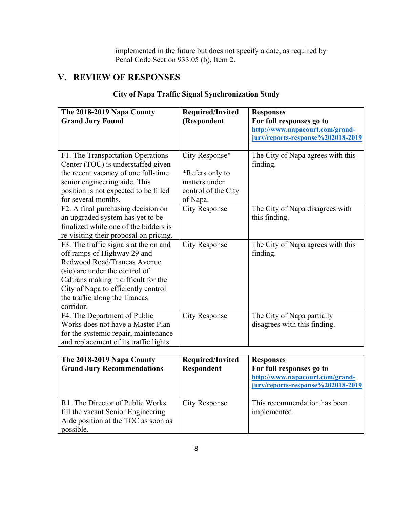implemented in the future but does not specify a date, as required by Penal Code Section 933.05 (b), Item 2.

## **V. REVIEW OF RESPONSES**

| The 2018-2019 Napa County<br><b>Grand Jury Found</b>                                                                                                                                                                                                               | Required/Invited<br>(Respondent                                                       | <b>Responses</b><br>For full responses go to<br>http://www.napacourt.com/grand-<br>jury/reports-response%202018-2019 |
|--------------------------------------------------------------------------------------------------------------------------------------------------------------------------------------------------------------------------------------------------------------------|---------------------------------------------------------------------------------------|----------------------------------------------------------------------------------------------------------------------|
| F1. The Transportation Operations<br>Center (TOC) is understaffed given<br>the recent vacancy of one full-time<br>senior engineering aide. This<br>position is not expected to be filled<br>for several months.                                                    | City Response*<br>*Refers only to<br>matters under<br>control of the City<br>of Napa. | The City of Napa agrees with this<br>finding.                                                                        |
| F2. A final purchasing decision on<br>an upgraded system has yet to be<br>finalized while one of the bidders is<br>re-visiting their proposal on pricing.                                                                                                          | <b>City Response</b>                                                                  | The City of Napa disagrees with<br>this finding.                                                                     |
| F3. The traffic signals at the on and<br>off ramps of Highway 29 and<br>Redwood Road/Trancas Avenue<br>(sic) are under the control of<br>Caltrans making it difficult for the<br>City of Napa to efficiently control<br>the traffic along the Trancas<br>corridor. | <b>City Response</b>                                                                  | The City of Napa agrees with this<br>finding.                                                                        |
| F4. The Department of Public<br>Works does not have a Master Plan<br>for the systemic repair, maintenance<br>and replacement of its traffic lights.                                                                                                                | <b>City Response</b>                                                                  | The City of Napa partially<br>disagrees with this finding.                                                           |

#### **City of Napa Traffic Signal Synchronization Study**

| The 2018-2019 Napa County<br><b>Grand Jury Recommendations</b>                                                             | Required/Invited<br>Respondent | <b>Responses</b><br>For full responses go to<br>http://www.napacourt.com/grand-<br>jury/reports-response%202018-2019 |
|----------------------------------------------------------------------------------------------------------------------------|--------------------------------|----------------------------------------------------------------------------------------------------------------------|
| R1. The Director of Public Works<br>fill the vacant Senior Engineering<br>Aide position at the TOC as soon as<br>possible. | <b>City Response</b>           | This recommendation has been<br>implemented.                                                                         |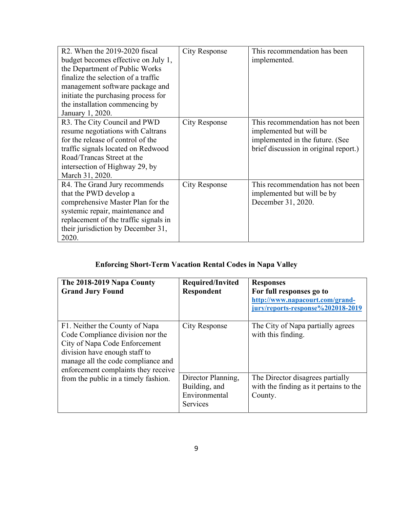| R2. When the 2019-2020 fiscal         | <b>City Response</b> | This recommendation has been          |
|---------------------------------------|----------------------|---------------------------------------|
| budget becomes effective on July 1,   |                      | implemented.                          |
| the Department of Public Works        |                      |                                       |
| finalize the selection of a traffic   |                      |                                       |
| management software package and       |                      |                                       |
| initiate the purchasing process for   |                      |                                       |
| the installation commencing by        |                      |                                       |
| January 1, 2020.                      |                      |                                       |
| R3. The City Council and PWD          | <b>City Response</b> | This recommendation has not been      |
| resume negotiations with Caltrans     |                      | implemented but will be               |
| for the release of control of the     |                      | implemented in the future. (See       |
| traffic signals located on Redwood    |                      | brief discussion in original report.) |
| Road/Trancas Street at the            |                      |                                       |
| intersection of Highway 29, by        |                      |                                       |
| March 31, 2020.                       |                      |                                       |
| R4. The Grand Jury recommends         | City Response        | This recommendation has not been      |
| that the PWD develop a                |                      | implemented but will be by            |
| comprehensive Master Plan for the     |                      | December 31, 2020.                    |
| systemic repair, maintenance and      |                      |                                       |
| replacement of the traffic signals in |                      |                                       |
| their jurisdiction by December 31,    |                      |                                       |
| 2020.                                 |                      |                                       |

## **Enforcing Short-Term Vacation Rental Codes in Napa Valley**

| The 2018-2019 Napa County<br><b>Grand Jury Found</b>                                                                                                                                                              | Required/Invited<br><b>Respondent</b>                            | <b>Responses</b><br>For full responses go to<br>http://www.napacourt.com/grand-<br>jury/reports-response%202018-2019 |
|-------------------------------------------------------------------------------------------------------------------------------------------------------------------------------------------------------------------|------------------------------------------------------------------|----------------------------------------------------------------------------------------------------------------------|
| F1. Neither the County of Napa<br>Code Compliance division nor the<br>City of Napa Code Enforcement<br>division have enough staff to<br>manage all the code compliance and<br>enforcement complaints they receive | <b>City Response</b>                                             | The City of Napa partially agrees<br>with this finding.                                                              |
| from the public in a timely fashion.                                                                                                                                                                              | Director Planning,<br>Building, and<br>Environmental<br>Services | The Director disagrees partially<br>with the finding as it pertains to the<br>County.                                |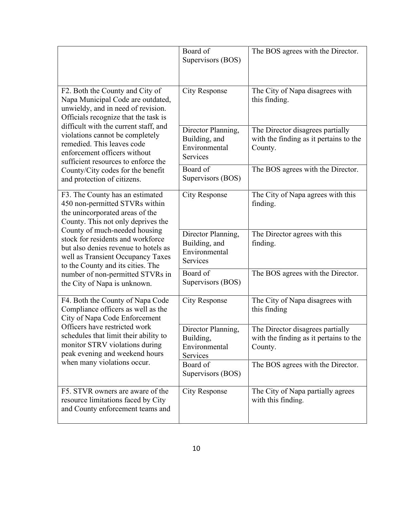|                                                                                                                                                                                                                                                                                                                                                                                                        | Board of<br>Supervisors (BOS)                                    | The BOS agrees with the Director.                                                     |
|--------------------------------------------------------------------------------------------------------------------------------------------------------------------------------------------------------------------------------------------------------------------------------------------------------------------------------------------------------------------------------------------------------|------------------------------------------------------------------|---------------------------------------------------------------------------------------|
| F2. Both the County and City of<br>Napa Municipal Code are outdated,<br>unwieldy, and in need of revision.<br>Officials recognize that the task is                                                                                                                                                                                                                                                     | <b>City Response</b>                                             | The City of Napa disagrees with<br>this finding.                                      |
| difficult with the current staff, and<br>violations cannot be completely<br>remedied. This leaves code<br>enforcement officers without<br>sufficient resources to enforce the                                                                                                                                                                                                                          | Director Planning,<br>Building, and<br>Environmental<br>Services | The Director disagrees partially<br>with the finding as it pertains to the<br>County. |
| County/City codes for the benefit<br>and protection of citizens.                                                                                                                                                                                                                                                                                                                                       | Board of<br>Supervisors (BOS)                                    | The BOS agrees with the Director.                                                     |
| F3. The County has an estimated<br>450 non-permitted STVRs within<br>the unincorporated areas of the<br>County. This not only deprives the<br>County of much-needed housing<br>stock for residents and workforce<br>but also denies revenue to hotels as<br>well as Transient Occupancy Taxes<br>to the County and its cities. The<br>number of non-permitted STVRs in<br>the City of Napa is unknown. | <b>City Response</b>                                             | The City of Napa agrees with this<br>finding.                                         |
|                                                                                                                                                                                                                                                                                                                                                                                                        | Director Planning,<br>Building, and<br>Environmental<br>Services | The Director agrees with this<br>finding.                                             |
|                                                                                                                                                                                                                                                                                                                                                                                                        | Board of<br>Supervisors (BOS)                                    | The BOS agrees with the Director.                                                     |
| F4. Both the County of Napa Code<br>Compliance officers as well as the<br>City of Napa Code Enforcement                                                                                                                                                                                                                                                                                                | <b>City Response</b>                                             | The City of Napa disagrees with<br>this finding                                       |
| Officers have restricted work<br>schedules that limit their ability to<br>monitor STRV violations during<br>peak evening and weekend hours<br>when many violations occur.                                                                                                                                                                                                                              | Director Planning,<br>Building,<br>Environmental<br>Services     | The Director disagrees partially<br>with the finding as it pertains to the<br>County. |
|                                                                                                                                                                                                                                                                                                                                                                                                        | Board of<br>Supervisors (BOS)                                    | The BOS agrees with the Director.                                                     |
| F5. STVR owners are aware of the<br>resource limitations faced by City<br>and County enforcement teams and                                                                                                                                                                                                                                                                                             | <b>City Response</b>                                             | The City of Napa partially agrees<br>with this finding.                               |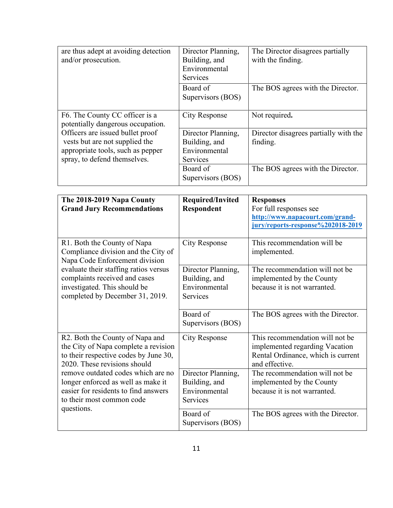| are thus adept at avoiding detection<br>and/or prosecution.                                                                             | Director Planning,<br>Building, and<br>Environmental<br><b>Services</b> | The Director disagrees partially<br>with the finding. |
|-----------------------------------------------------------------------------------------------------------------------------------------|-------------------------------------------------------------------------|-------------------------------------------------------|
|                                                                                                                                         | Board of<br>Supervisors (BOS)                                           | The BOS agrees with the Director.                     |
| F6. The County CC officer is a<br>potentially dangerous occupation.                                                                     | City Response                                                           | Not required.                                         |
| Officers are issued bullet proof<br>vests but are not supplied the<br>appropriate tools, such as pepper<br>spray, to defend themselves. | Director Planning,<br>Building, and<br>Environmental<br>Services        | Director disagrees partially with the<br>finding.     |
|                                                                                                                                         | Board of<br>Supervisors (BOS)                                           | The BOS agrees with the Director.                     |

| The 2018-2019 Napa County<br><b>Grand Jury Recommendations</b>                                                                                   | Required/Invited<br>Respondent                                   | <b>Responses</b><br>For full responses see<br>http://www.napacourt.com/grand-<br>jury/reports-response%202018-2019        |
|--------------------------------------------------------------------------------------------------------------------------------------------------|------------------------------------------------------------------|---------------------------------------------------------------------------------------------------------------------------|
| R1. Both the County of Napa<br>Compliance division and the City of<br>Napa Code Enforcement division                                             | <b>City Response</b>                                             | This recommendation will be<br>implemented.                                                                               |
| evaluate their staffing ratios versus<br>complaints received and cases<br>investigated. This should be<br>completed by December 31, 2019.        | Director Planning,<br>Building, and<br>Environmental<br>Services | The recommendation will not be<br>implemented by the County<br>because it is not warranted.                               |
|                                                                                                                                                  | Board of<br>Supervisors (BOS)                                    | The BOS agrees with the Director.                                                                                         |
| R2. Both the County of Napa and<br>the City of Napa complete a revision<br>to their respective codes by June 30,<br>2020. These revisions should | <b>City Response</b>                                             | This recommendation will not be<br>implemented regarding Vacation<br>Rental Ordinance, which is current<br>and effective. |
| remove outdated codes which are no<br>longer enforced as well as make it<br>easier for residents to find answers<br>to their most common code    | Director Planning,<br>Building, and<br>Environmental<br>Services | The recommendation will not be<br>implemented by the County<br>because it is not warranted.                               |
| questions.                                                                                                                                       | Board of<br>Supervisors (BOS)                                    | The BOS agrees with the Director.                                                                                         |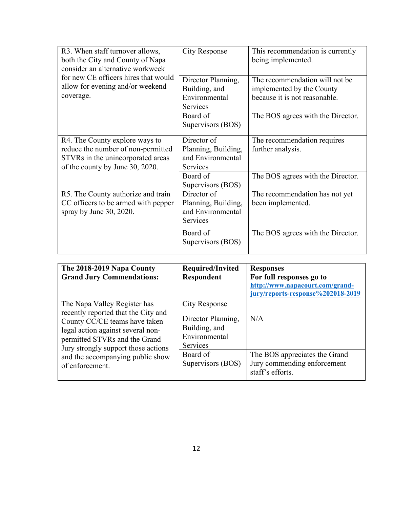| R3. When staff turnover allows,<br>both the City and County of Napa<br>consider an alternative workweek<br>for new CE officers hires that would<br>allow for evening and/or weekend<br>coverage. | <b>City Response</b>                                                       | This recommendation is currently<br>being implemented.                                       |
|--------------------------------------------------------------------------------------------------------------------------------------------------------------------------------------------------|----------------------------------------------------------------------------|----------------------------------------------------------------------------------------------|
|                                                                                                                                                                                                  | Director Planning,<br>Building, and<br>Environmental<br>Services           | The recommendation will not be<br>implemented by the County<br>because it is not reasonable. |
|                                                                                                                                                                                                  | Board of<br>Supervisors (BOS)                                              | The BOS agrees with the Director.                                                            |
| R4. The County explore ways to<br>reduce the number of non-permitted<br>STVRs in the unincorporated areas<br>of the county by June 30, 2020.                                                     | Director of<br>Planning, Building,<br>and Environmental<br>Services        | The recommendation requires<br>further analysis.                                             |
|                                                                                                                                                                                                  | Board of<br>Supervisors (BOS)                                              | The BOS agrees with the Director.                                                            |
| R5. The County authorize and train<br>CC officers to be armed with pepper<br>spray by June 30, 2020.                                                                                             | Director of<br>Planning, Building,<br>and Environmental<br><b>Services</b> | The recommendation has not yet<br>been implemented.                                          |
|                                                                                                                                                                                                  | Board of<br>Supervisors (BOS)                                              | The BOS agrees with the Director.                                                            |

| The 2018-2019 Napa County<br><b>Grand Jury Commendations:</b>                                                                                                                                                                                                            | Required/Invited<br><b>Respondent</b>                                                    | <b>Responses</b><br>For full responses go to<br>http://www.napacourt.com/grand-<br>jury/reports-response%202018-2019 |
|--------------------------------------------------------------------------------------------------------------------------------------------------------------------------------------------------------------------------------------------------------------------------|------------------------------------------------------------------------------------------|----------------------------------------------------------------------------------------------------------------------|
| The Napa Valley Register has<br>recently reported that the City and<br>County CC/CE teams have taken<br>legal action against several non-<br>permitted STVRs and the Grand<br>Jury strongly support those actions<br>and the accompanying public show<br>of enforcement. | City Response<br>Director Planning,<br>Building, and<br>Environmental<br><b>Services</b> | N/A                                                                                                                  |
|                                                                                                                                                                                                                                                                          | Board of<br>Supervisors (BOS)                                                            | The BOS appreciates the Grand<br>Jury commending enforcement<br>staff's efforts.                                     |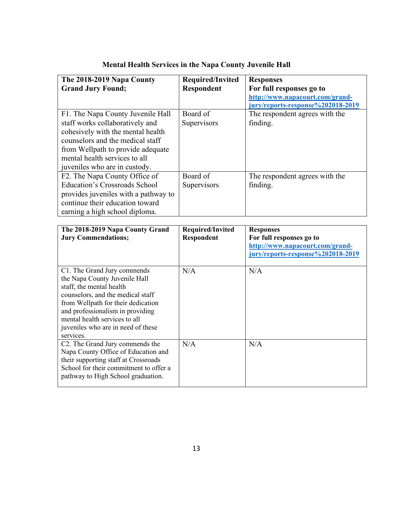| The 2018-2019 Napa County<br><b>Grand Jury Found;</b>                                                                                                                                                                                                                                       | <b>Required/Invited</b><br><b>Respondent</b> | <b>Responses</b><br>For full responses go to                                                                         |
|---------------------------------------------------------------------------------------------------------------------------------------------------------------------------------------------------------------------------------------------------------------------------------------------|----------------------------------------------|----------------------------------------------------------------------------------------------------------------------|
|                                                                                                                                                                                                                                                                                             |                                              | http://www.napacourt.com/grand-<br>jury/reports-response%202018-2019                                                 |
| F1. The Napa County Juvenile Hall<br>staff works collaboratively and<br>cohesively with the mental health<br>counselors and the medical staff<br>from Wellpath to provide adequate<br>mental health services to all<br>juveniles who are in custody.                                        | Board of<br>Supervisors                      | The respondent agrees with the<br>finding.                                                                           |
| F2. The Napa County Office of<br><b>Education's Crossroads School</b><br>provides juveniles with a pathway to<br>continue their education toward<br>earning a high school diploma.                                                                                                          | Board of<br>Supervisors                      | The respondent agrees with the<br>finding.                                                                           |
| The 2018-2019 Napa County Grand<br><b>Jury Commendations;</b>                                                                                                                                                                                                                               | <b>Required/Invited</b><br><b>Respondent</b> | <b>Responses</b><br>For full responses go to<br>http://www.napacourt.com/grand-<br>jury/reports-response%202018-2019 |
| C1. The Grand Jury commends<br>the Napa County Juvenile Hall<br>staff, the mental health<br>counselors, and the medical staff<br>from Wellpath for their dedication<br>and professionalism in providing<br>mental health services to all<br>juveniles who are in need of these<br>services. | N/A                                          | N/A                                                                                                                  |
| C2. The Grand Jury commends the<br>Napa County Office of Education and<br>their supporting staff at Crossroads<br>School for their commitment to offer a<br>pathway to High School graduation.                                                                                              | N/A                                          | N/A                                                                                                                  |

## **Mental Health Services in the Napa County Juvenile Hall**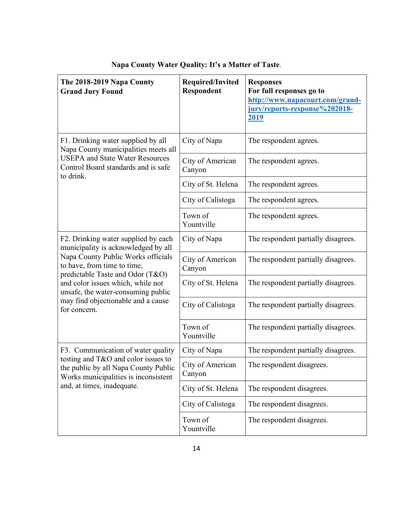| The 2018-2019 Napa County<br><b>Grand Jury Found</b>                                                                                                                                                                                   | Required/Invited<br>Respondent | <b>Responses</b><br>For full responses go to<br>http://www.napacourt.com/grand-<br>jury/reports-response%202018-<br>2019 |
|----------------------------------------------------------------------------------------------------------------------------------------------------------------------------------------------------------------------------------------|--------------------------------|--------------------------------------------------------------------------------------------------------------------------|
| F1. Drinking water supplied by all<br>Napa County municipalities meets all                                                                                                                                                             | City of Napa                   | The respondent agrees.                                                                                                   |
| <b>USEPA and State Water Resources</b><br>Control Board standards and is safe<br>to drink.                                                                                                                                             | City of American<br>Canyon     | The respondent agrees.                                                                                                   |
|                                                                                                                                                                                                                                        | City of St. Helena             | The respondent agrees.                                                                                                   |
|                                                                                                                                                                                                                                        | City of Calistoga              | The respondent agrees.                                                                                                   |
|                                                                                                                                                                                                                                        | Town of<br>Yountville          | The respondent agrees.                                                                                                   |
| F2. Drinking water supplied by each<br>municipality is acknowledged by all                                                                                                                                                             | City of Napa                   | The respondent partially disagrees.                                                                                      |
| Napa County Public Works officials<br>to have, from time to time,<br>predictable Taste and Odor (T&O)<br>and color issues which, while not<br>unsafe, the water-consuming public<br>may find objectionable and a cause<br>for concern. | City of American<br>Canyon     | The respondent partially disagrees.                                                                                      |
|                                                                                                                                                                                                                                        | City of St. Helena             | The respondent partially disagrees.                                                                                      |
|                                                                                                                                                                                                                                        | City of Calistoga              | The respondent partially disagrees.                                                                                      |
|                                                                                                                                                                                                                                        | Town of<br>Yountville          | The respondent partially disagrees.                                                                                      |
| F3. Communication of water quality                                                                                                                                                                                                     | City of Napa                   | The respondent partially disagrees.                                                                                      |
| testing and T&O and color issues to<br>the public by all Napa County Public<br>Works municipalities is inconsistent<br>and, at times, inadequate.                                                                                      | City of American<br>Canyon     | The respondent disagrees.                                                                                                |
|                                                                                                                                                                                                                                        | City of St. Helena             | The respondent disagrees.                                                                                                |
|                                                                                                                                                                                                                                        | City of Calistoga              | The respondent disagrees.                                                                                                |
|                                                                                                                                                                                                                                        | Town of<br>Yountville          | The respondent disagrees.                                                                                                |

**Napa County Water Quality: It's a Matter of Taste**.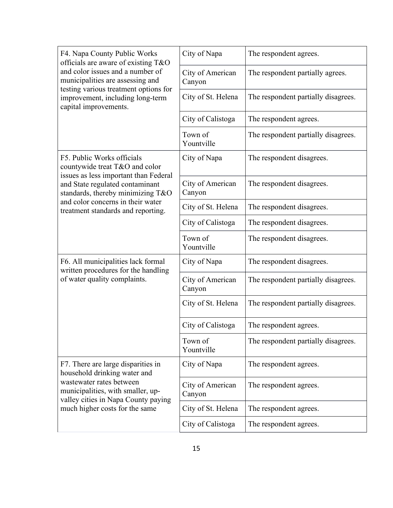| F4. Napa County Public Works<br>officials are aware of existing T&O<br>and color issues and a number of<br>municipalities are assessing and                                                                  | City of Napa               | The respondent agrees.              |
|--------------------------------------------------------------------------------------------------------------------------------------------------------------------------------------------------------------|----------------------------|-------------------------------------|
|                                                                                                                                                                                                              | City of American<br>Canyon | The respondent partially agrees.    |
| testing various treatment options for<br>improvement, including long-term<br>capital improvements.                                                                                                           | City of St. Helena         | The respondent partially disagrees. |
|                                                                                                                                                                                                              | City of Calistoga          | The respondent agrees.              |
|                                                                                                                                                                                                              | Town of<br>Yountville      | The respondent partially disagrees. |
| F5. Public Works officials<br>countywide treat T&O and color                                                                                                                                                 | City of Napa               | The respondent disagrees.           |
| issues as less important than Federal<br>and State regulated contaminant<br>standards, thereby minimizing T&O                                                                                                | City of American<br>Canyon | The respondent disagrees.           |
| and color concerns in their water<br>treatment standards and reporting.                                                                                                                                      | City of St. Helena         | The respondent disagrees.           |
|                                                                                                                                                                                                              | City of Calistoga          | The respondent disagrees.           |
|                                                                                                                                                                                                              | Town of<br>Yountville      | The respondent disagrees.           |
| F6. All municipalities lack formal<br>written procedures for the handling<br>of water quality complaints.                                                                                                    | City of Napa               | The respondent disagrees.           |
|                                                                                                                                                                                                              | City of American<br>Canyon | The respondent partially disagrees. |
|                                                                                                                                                                                                              | City of St. Helena         | The respondent partially disagrees. |
|                                                                                                                                                                                                              | City of Calistoga          | The respondent agrees.              |
|                                                                                                                                                                                                              | Town of<br>Yountville      | The respondent partially disagrees. |
| F7. There are large disparities in<br>household drinking water and<br>wastewater rates between<br>municipalities, with smaller, up-<br>valley cities in Napa County paying<br>much higher costs for the same | City of Napa               | The respondent agrees.              |
|                                                                                                                                                                                                              | City of American<br>Canyon | The respondent agrees.              |
|                                                                                                                                                                                                              | City of St. Helena         | The respondent agrees.              |
|                                                                                                                                                                                                              | City of Calistoga          | The respondent agrees.              |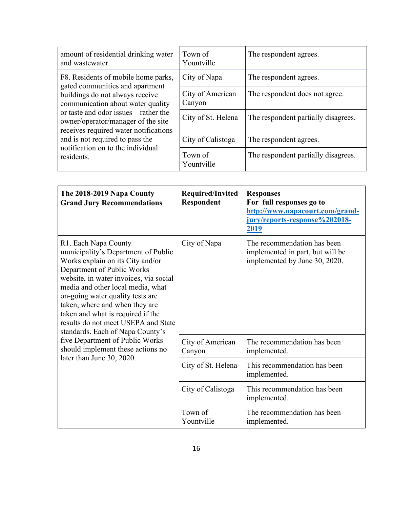| amount of residential drinking water<br>and wastewater.                                                                                                                                                                                                                                                                                                    | Town of<br>Yountville      | The respondent agrees.              |
|------------------------------------------------------------------------------------------------------------------------------------------------------------------------------------------------------------------------------------------------------------------------------------------------------------------------------------------------------------|----------------------------|-------------------------------------|
| F8. Residents of mobile home parks,<br>gated communities and apartment<br>buildings do not always receive<br>communication about water quality<br>or taste and odor issues—rather the<br>owner/operator/manager of the site<br>receives required water notifications<br>and is not required to pass the<br>notification on to the individual<br>residents. | City of Napa               | The respondent agrees.              |
|                                                                                                                                                                                                                                                                                                                                                            | City of American<br>Canyon | The respondent does not agree.      |
|                                                                                                                                                                                                                                                                                                                                                            | City of St. Helena         | The respondent partially disagrees. |
|                                                                                                                                                                                                                                                                                                                                                            | City of Calistoga          | The respondent agrees.              |
|                                                                                                                                                                                                                                                                                                                                                            | Town of<br>Yountville      | The respondent partially disagrees. |

| The 2018-2019 Napa County<br><b>Grand Jury Recommendations</b>                                                                                                                                                                                                                                                                                                                                                                                                                                          | Required/Invited<br>Respondent | <b>Responses</b><br>For full responses go to<br>http://www.napacourt.com/grand-<br>jury/reports-response%202018-<br><u>2019</u> |
|---------------------------------------------------------------------------------------------------------------------------------------------------------------------------------------------------------------------------------------------------------------------------------------------------------------------------------------------------------------------------------------------------------------------------------------------------------------------------------------------------------|--------------------------------|---------------------------------------------------------------------------------------------------------------------------------|
| R1. Each Napa County<br>municipality's Department of Public<br>Works explain on its City and/or<br>Department of Public Works<br>website, in water invoices, via social<br>media and other local media, what<br>on-going water quality tests are<br>taken, where and when they are<br>taken and what is required if the<br>results do not meet USEPA and State<br>standards. Each of Napa County's<br>five Department of Public Works<br>should implement these actions no<br>later than June 30, 2020. | City of Napa                   | The recommendation has been<br>implemented in part, but will be<br>implemented by June 30, 2020.                                |
|                                                                                                                                                                                                                                                                                                                                                                                                                                                                                                         | City of American<br>Canyon     | The recommendation has been<br>implemented.                                                                                     |
|                                                                                                                                                                                                                                                                                                                                                                                                                                                                                                         | City of St. Helena             | This recommendation has been<br>implemented.                                                                                    |
|                                                                                                                                                                                                                                                                                                                                                                                                                                                                                                         | City of Calistoga              | This recommendation has been<br>implemented.                                                                                    |
|                                                                                                                                                                                                                                                                                                                                                                                                                                                                                                         | Town of<br>Yountville          | The recommendation has been<br>implemented.                                                                                     |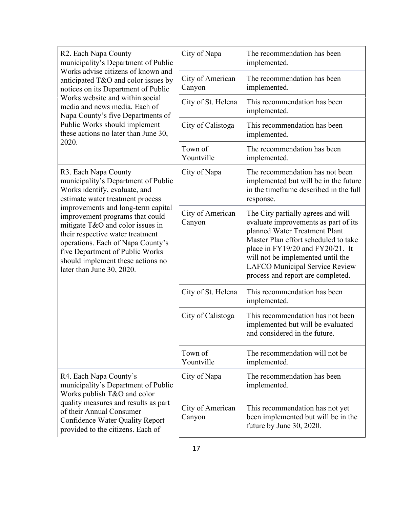| R2. Each Napa County<br>municipality's Department of Public<br>Works advise citizens of known and<br>anticipated T&O and color issues by<br>notices on its Department of Public                                                                                                                                                                                                                                             | City of Napa               | The recommendation has been<br>implemented.                                                                                                                                                                                                                                                         |
|-----------------------------------------------------------------------------------------------------------------------------------------------------------------------------------------------------------------------------------------------------------------------------------------------------------------------------------------------------------------------------------------------------------------------------|----------------------------|-----------------------------------------------------------------------------------------------------------------------------------------------------------------------------------------------------------------------------------------------------------------------------------------------------|
|                                                                                                                                                                                                                                                                                                                                                                                                                             | City of American<br>Canyon | The recommendation has been<br>implemented.                                                                                                                                                                                                                                                         |
| Works website and within social<br>media and news media. Each of<br>Napa County's five Departments of                                                                                                                                                                                                                                                                                                                       | City of St. Helena         | This recommendation has been<br>implemented.                                                                                                                                                                                                                                                        |
| Public Works should implement<br>these actions no later than June 30,                                                                                                                                                                                                                                                                                                                                                       | City of Calistoga          | This recommendation has been<br>implemented.                                                                                                                                                                                                                                                        |
| 2020.                                                                                                                                                                                                                                                                                                                                                                                                                       | Town of<br>Yountville      | The recommendation has been<br>implemented.                                                                                                                                                                                                                                                         |
| R3. Each Napa County<br>municipality's Department of Public<br>Works identify, evaluate, and<br>estimate water treatment process<br>improvements and long-term capital<br>improvement programs that could<br>mitigate T&O and color issues in<br>their respective water treatment<br>operations. Each of Napa County's<br>five Department of Public Works<br>should implement these actions no<br>later than June 30, 2020. | City of Napa               | The recommendation has not been<br>implemented but will be in the future<br>in the timeframe described in the full<br>response.                                                                                                                                                                     |
|                                                                                                                                                                                                                                                                                                                                                                                                                             | City of American<br>Canyon | The City partially agrees and will<br>evaluate improvements as part of its<br>planned Water Treatment Plant<br>Master Plan effort scheduled to take<br>place in FY19/20 and FY20/21. It<br>will not be implemented until the<br>LAFCO Municipal Service Review<br>process and report are completed. |
|                                                                                                                                                                                                                                                                                                                                                                                                                             | City of St. Helena         | This recommendation has been<br>implemented.                                                                                                                                                                                                                                                        |
|                                                                                                                                                                                                                                                                                                                                                                                                                             | City of Calistoga          | This recommendation has not been<br>implemented but will be evaluated<br>and considered in the future.                                                                                                                                                                                              |
|                                                                                                                                                                                                                                                                                                                                                                                                                             | Town of<br>Yountville      | The recommendation will not be<br>implemented.                                                                                                                                                                                                                                                      |
| R4. Each Napa County's<br>municipality's Department of Public<br>Works publish T&O and color<br>quality measures and results as part<br>of their Annual Consumer<br>Confidence Water Quality Report<br>provided to the citizens. Each of                                                                                                                                                                                    | City of Napa               | The recommendation has been<br>implemented.                                                                                                                                                                                                                                                         |
|                                                                                                                                                                                                                                                                                                                                                                                                                             | City of American<br>Canyon | This recommendation has not yet<br>been implemented but will be in the<br>future by June 30, 2020.                                                                                                                                                                                                  |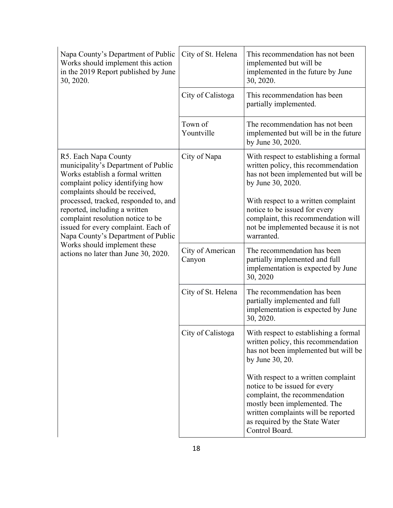| Napa County's Department of Public<br>Works should implement this action<br>in the 2019 Report published by June<br>30, 2020.                                                            | City of St. Helena         | This recommendation has not been<br>implemented but will be<br>implemented in the future by June<br>30, 2020.                                                                                                                    |
|------------------------------------------------------------------------------------------------------------------------------------------------------------------------------------------|----------------------------|----------------------------------------------------------------------------------------------------------------------------------------------------------------------------------------------------------------------------------|
|                                                                                                                                                                                          | City of Calistoga          | This recommendation has been<br>partially implemented.                                                                                                                                                                           |
|                                                                                                                                                                                          | Town of<br>Yountville      | The recommendation has not been<br>implemented but will be in the future<br>by June 30, 2020.                                                                                                                                    |
| R5. Each Napa County<br>municipality's Department of Public<br>Works establish a formal written<br>complaint policy identifying how<br>complaints should be received,                    | City of Napa               | With respect to establishing a formal<br>written policy, this recommendation<br>has not been implemented but will be<br>by June 30, 2020.                                                                                        |
| processed, tracked, responded to, and<br>reported, including a written<br>complaint resolution notice to be<br>issued for every complaint. Each of<br>Napa County's Department of Public |                            | With respect to a written complaint<br>notice to be issued for every<br>complaint, this recommendation will<br>not be implemented because it is not<br>warranted.                                                                |
| Works should implement these<br>actions no later than June 30, 2020.                                                                                                                     | City of American<br>Canyon | The recommendation has been<br>partially implemented and full<br>implementation is expected by June<br>30, 2020                                                                                                                  |
|                                                                                                                                                                                          | City of St. Helena         | The recommendation has been<br>partially implemented and full<br>implementation is expected by June<br>30, 2020.                                                                                                                 |
|                                                                                                                                                                                          | City of Calistoga          | With respect to establishing a formal<br>written policy, this recommendation<br>has not been implemented but will be<br>by June 30, 20.                                                                                          |
|                                                                                                                                                                                          |                            | With respect to a written complaint<br>notice to be issued for every<br>complaint, the recommendation<br>mostly been implemented. The<br>written complaints will be reported<br>as required by the State Water<br>Control Board. |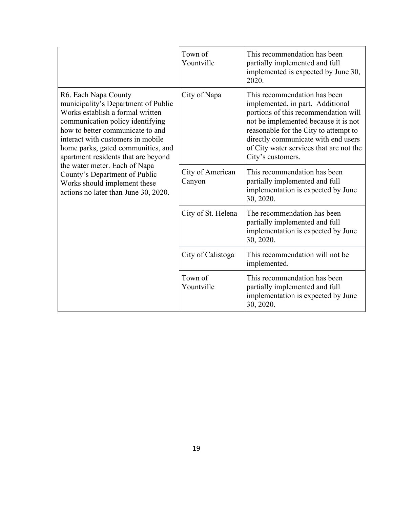|                                                                                                                                                                                                                                                                                                                                                                                                                                     | Town of<br>Yountville      | This recommendation has been<br>partially implemented and full<br>implemented is expected by June 30,<br>2020.                                                                                                                                                                                   |
|-------------------------------------------------------------------------------------------------------------------------------------------------------------------------------------------------------------------------------------------------------------------------------------------------------------------------------------------------------------------------------------------------------------------------------------|----------------------------|--------------------------------------------------------------------------------------------------------------------------------------------------------------------------------------------------------------------------------------------------------------------------------------------------|
| R6. Each Napa County<br>municipality's Department of Public<br>Works establish a formal written<br>communication policy identifying<br>how to better communicate to and<br>interact with customers in mobile<br>home parks, gated communities, and<br>apartment residents that are beyond<br>the water meter. Each of Napa<br>County's Department of Public<br>Works should implement these<br>actions no later than June 30, 2020. | City of Napa               | This recommendation has been<br>implemented, in part. Additional<br>portions of this recommendation will<br>not be implemented because it is not<br>reasonable for the City to attempt to<br>directly communicate with end users<br>of City water services that are not the<br>City's customers. |
|                                                                                                                                                                                                                                                                                                                                                                                                                                     | City of American<br>Canyon | This recommendation has been<br>partially implemented and full<br>implementation is expected by June<br>30, 2020.                                                                                                                                                                                |
|                                                                                                                                                                                                                                                                                                                                                                                                                                     | City of St. Helena         | The recommendation has been<br>partially implemented and full<br>implementation is expected by June<br>30, 2020.                                                                                                                                                                                 |
|                                                                                                                                                                                                                                                                                                                                                                                                                                     | City of Calistoga          | This recommendation will not be<br>implemented.                                                                                                                                                                                                                                                  |
|                                                                                                                                                                                                                                                                                                                                                                                                                                     | Town of<br>Yountville      | This recommendation has been<br>partially implemented and full<br>implementation is expected by June<br>30, 2020.                                                                                                                                                                                |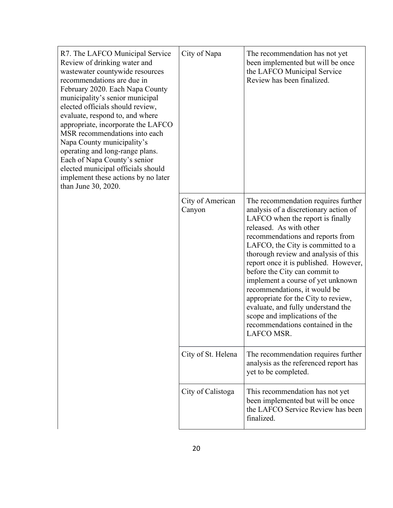| R7. The LAFCO Municipal Service<br>Review of drinking water and<br>wastewater countywide resources<br>recommendations are due in<br>February 2020. Each Napa County<br>municipality's senior municipal<br>elected officials should review,<br>evaluate, respond to, and where<br>appropriate, incorporate the LAFCO<br>MSR recommendations into each<br>Napa County municipality's<br>operating and long-range plans.<br>Each of Napa County's senior<br>elected municipal officials should<br>implement these actions by no later<br>than June 30, 2020. | City of Napa               | The recommendation has not yet<br>been implemented but will be once<br>the LAFCO Municipal Service<br>Review has been finalized.                                                                                                                                                                                                                                                                                                                                                                                                                                                  |
|-----------------------------------------------------------------------------------------------------------------------------------------------------------------------------------------------------------------------------------------------------------------------------------------------------------------------------------------------------------------------------------------------------------------------------------------------------------------------------------------------------------------------------------------------------------|----------------------------|-----------------------------------------------------------------------------------------------------------------------------------------------------------------------------------------------------------------------------------------------------------------------------------------------------------------------------------------------------------------------------------------------------------------------------------------------------------------------------------------------------------------------------------------------------------------------------------|
|                                                                                                                                                                                                                                                                                                                                                                                                                                                                                                                                                           | City of American<br>Canyon | The recommendation requires further<br>analysis of a discretionary action of<br>LAFCO when the report is finally<br>released. As with other<br>recommendations and reports from<br>LAFCO, the City is committed to a<br>thorough review and analysis of this<br>report once it is published. However,<br>before the City can commit to<br>implement a course of yet unknown<br>recommendations, it would be<br>appropriate for the City to review,<br>evaluate, and fully understand the<br>scope and implications of the<br>recommendations contained in the<br><b>LAFCO MSR</b> |
|                                                                                                                                                                                                                                                                                                                                                                                                                                                                                                                                                           | City of St. Helena         | The recommendation requires further<br>analysis as the referenced report has<br>yet to be completed.                                                                                                                                                                                                                                                                                                                                                                                                                                                                              |
|                                                                                                                                                                                                                                                                                                                                                                                                                                                                                                                                                           | City of Calistoga          | This recommendation has not yet<br>been implemented but will be once<br>the LAFCO Service Review has been<br>finalized.                                                                                                                                                                                                                                                                                                                                                                                                                                                           |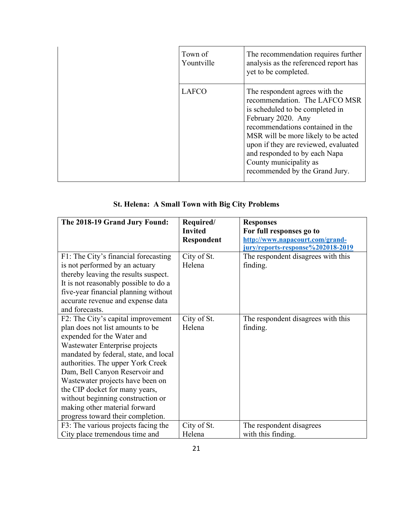| Town of<br>Yountville | The recommendation requires further<br>analysis as the referenced report has<br>yet to be completed.                                                                                                                                                                                                                                     |
|-----------------------|------------------------------------------------------------------------------------------------------------------------------------------------------------------------------------------------------------------------------------------------------------------------------------------------------------------------------------------|
| <b>LAFCO</b>          | The respondent agrees with the<br>recommendation. The LAFCO MSR<br>is scheduled to be completed in<br>February 2020. Any<br>recommendations contained in the<br>MSR will be more likely to be acted<br>upon if they are reviewed, evaluated<br>and responded to by each Napa<br>County municipality as<br>recommended by the Grand Jury. |

## **St. Helena: A Small Town with Big City Problems**

| The 2018-19 Grand Jury Found:         | Required/         | <b>Responses</b>                   |
|---------------------------------------|-------------------|------------------------------------|
|                                       | <b>Invited</b>    | For full responses go to           |
|                                       | <b>Respondent</b> | http://www.napacourt.com/grand-    |
|                                       |                   | jury/reports-response%202018-2019  |
| F1: The City's financial forecasting  | City of St.       | The respondent disagrees with this |
| is not performed by an actuary        | Helena            | finding.                           |
| thereby leaving the results suspect.  |                   |                                    |
| It is not reasonably possible to do a |                   |                                    |
| five-year financial planning without  |                   |                                    |
| accurate revenue and expense data     |                   |                                    |
| and forecasts.                        |                   |                                    |
| F2: The City's capital improvement    | City of St.       | The respondent disagrees with this |
| plan does not list amounts to be      | Helena            | finding.                           |
| expended for the Water and            |                   |                                    |
| Wastewater Enterprise projects        |                   |                                    |
| mandated by federal, state, and local |                   |                                    |
| authorities. The upper York Creek     |                   |                                    |
| Dam, Bell Canyon Reservoir and        |                   |                                    |
| Wastewater projects have been on      |                   |                                    |
| the CIP docket for many years,        |                   |                                    |
| without beginning construction or     |                   |                                    |
| making other material forward         |                   |                                    |
| progress toward their completion.     |                   |                                    |
| F3: The various projects facing the   | City of St.       | The respondent disagrees           |
| City place tremendous time and        | Helena            | with this finding.                 |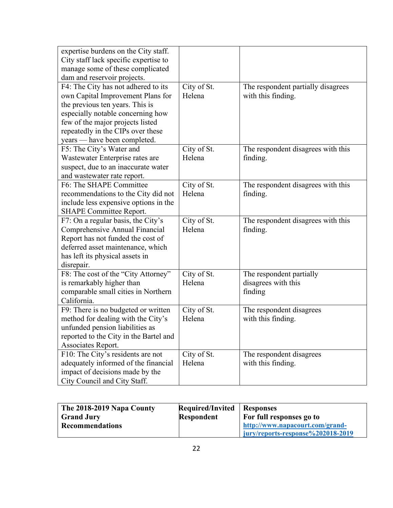| expertise burdens on the City staff.                               |             |                                    |
|--------------------------------------------------------------------|-------------|------------------------------------|
| City staff lack specific expertise to                              |             |                                    |
| manage some of these complicated                                   |             |                                    |
| dam and reservoir projects.<br>F4: The City has not adhered to its | City of St. | The respondent partially disagrees |
| own Capital Improvement Plans for                                  | Helena      | with this finding.                 |
| the previous ten years. This is                                    |             |                                    |
| especially notable concerning how                                  |             |                                    |
| few of the major projects listed                                   |             |                                    |
| repeatedly in the CIPs over these                                  |             |                                    |
| years - have been completed.                                       |             |                                    |
| F5: The City's Water and                                           | City of St. | The respondent disagrees with this |
| Wastewater Enterprise rates are                                    | Helena      | finding.                           |
| suspect, due to an inaccurate water                                |             |                                    |
| and wastewater rate report.                                        |             |                                    |
| F6: The SHAPE Committee                                            | City of St. | The respondent disagrees with this |
| recommendations to the City did not                                | Helena      | finding.                           |
| include less expensive options in the                              |             |                                    |
| SHAPE Committee Report.                                            |             |                                    |
| F7: On a regular basis, the City's                                 | City of St. | The respondent disagrees with this |
| Comprehensive Annual Financial                                     | Helena      | finding.                           |
| Report has not funded the cost of                                  |             |                                    |
| deferred asset maintenance, which                                  |             |                                    |
| has left its physical assets in                                    |             |                                    |
| disrepair.                                                         |             |                                    |
| F8: The cost of the "City Attorney"                                | City of St. | The respondent partially           |
| is remarkably higher than                                          | Helena      | disagrees with this                |
| comparable small cities in Northern                                |             | finding                            |
| California.                                                        |             |                                    |
| F9: There is no budgeted or written                                | City of St. | The respondent disagrees           |
| method for dealing with the City's                                 | Helena      | with this finding.                 |
| unfunded pension liabilities as                                    |             |                                    |
| reported to the City in the Bartel and                             |             |                                    |
| Associates Report.                                                 |             |                                    |
| F10: The City's residents are not                                  | City of St. | The respondent disagrees           |
| adequately informed of the financial                               | Helena      | with this finding.                 |
| impact of decisions made by the                                    |             |                                    |
| City Council and City Staff.                                       |             |                                    |

| The 2018-2019 Napa County | <b>Required/Invited</b> | <b>Responses</b>                  |
|---------------------------|-------------------------|-----------------------------------|
| <b>Grand Jury</b>         | <b>Respondent</b>       | For full responses go to          |
| <b>Recommendations</b>    |                         | http://www.napacourt.com/grand-   |
|                           |                         | jury/reports-response%202018-2019 |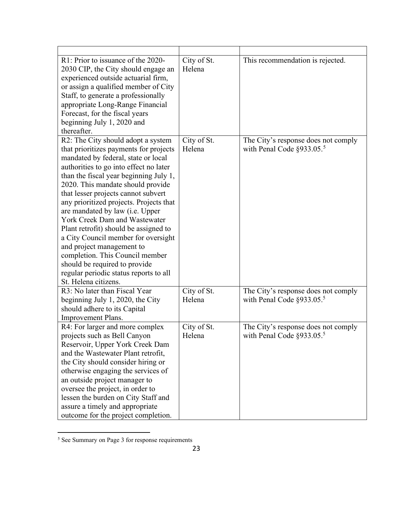| R1: Prior to issuance of the 2020-<br>2030 CIP, the City should engage an<br>experienced outside actuarial firm,<br>or assign a qualified member of City<br>Staff, to generate a professionally<br>appropriate Long-Range Financial<br>Forecast, for the fiscal years<br>beginning July 1, 2020 and<br>thereafter.                                                                                                                                                                                                                                                                                                                                           | City of St.<br>Helena | This recommendation is rejected.                                                 |
|--------------------------------------------------------------------------------------------------------------------------------------------------------------------------------------------------------------------------------------------------------------------------------------------------------------------------------------------------------------------------------------------------------------------------------------------------------------------------------------------------------------------------------------------------------------------------------------------------------------------------------------------------------------|-----------------------|----------------------------------------------------------------------------------|
| R2: The City should adopt a system<br>that prioritizes payments for projects<br>mandated by federal, state or local<br>authorities to go into effect no later<br>than the fiscal year beginning July 1,<br>2020. This mandate should provide<br>that lesser projects cannot subvert<br>any prioritized projects. Projects that<br>are mandated by law (i.e. Upper<br><b>York Creek Dam and Wastewater</b><br>Plant retrofit) should be assigned to<br>a City Council member for oversight<br>and project management to<br>completion. This Council member<br>should be required to provide<br>regular periodic status reports to all<br>St. Helena citizens. | City of St.<br>Helena | The City's response does not comply<br>with Penal Code $\S$ 933.05. <sup>5</sup> |
| R3: No later than Fiscal Year<br>beginning July 1, 2020, the City<br>should adhere to its Capital<br>Improvement Plans.                                                                                                                                                                                                                                                                                                                                                                                                                                                                                                                                      | City of St.<br>Helena | The City's response does not comply<br>with Penal Code $\S$ 933.05. <sup>5</sup> |
| R4: For larger and more complex<br>projects such as Bell Canyon<br>Reservoir, Upper York Creek Dam<br>and the Wastewater Plant retrofit,<br>the City should consider hiring or<br>otherwise engaging the services of<br>an outside project manager to<br>oversee the project, in order to<br>lessen the burden on City Staff and<br>assure a timely and appropriate<br>outcome for the project completion.                                                                                                                                                                                                                                                   | City of St.<br>Helena | The City's response does not comply<br>with Penal Code $\S$ 933.05. <sup>5</sup> |

<span id="page-22-0"></span><sup>5</sup> See Summary on Page 3 for response requirements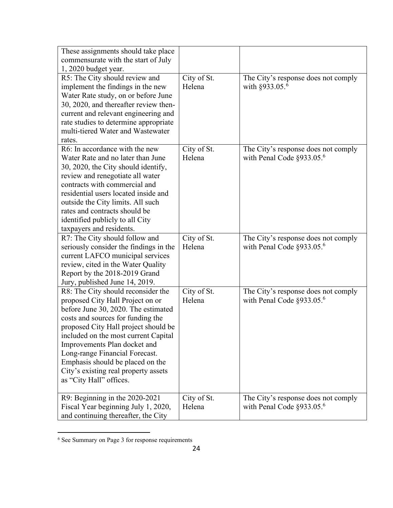| These assignments should take place                                   |             |                                                                                  |
|-----------------------------------------------------------------------|-------------|----------------------------------------------------------------------------------|
| commensurate with the start of July                                   |             |                                                                                  |
| 1, 2020 budget year.                                                  |             |                                                                                  |
| R5: The City should review and                                        | City of St. | The City's response does not comply                                              |
| implement the findings in the new                                     | Helena      | with $§933.05.^6$                                                                |
| Water Rate study, on or before June                                   |             |                                                                                  |
| 30, 2020, and thereafter review then-                                 |             |                                                                                  |
| current and relevant engineering and                                  |             |                                                                                  |
| rate studies to determine appropriate                                 |             |                                                                                  |
| multi-tiered Water and Wastewater                                     |             |                                                                                  |
| rates.                                                                |             |                                                                                  |
| R6: In accordance with the new                                        | City of St. | The City's response does not comply                                              |
| Water Rate and no later than June                                     | Helena      | with Penal Code $\S$ 933.05. <sup>6</sup>                                        |
| 30, 2020, the City should identify,                                   |             |                                                                                  |
| review and renegotiate all water                                      |             |                                                                                  |
| contracts with commercial and                                         |             |                                                                                  |
| residential users located inside and                                  |             |                                                                                  |
| outside the City limits. All such                                     |             |                                                                                  |
| rates and contracts should be                                         |             |                                                                                  |
| identified publicly to all City                                       |             |                                                                                  |
| taxpayers and residents.                                              |             |                                                                                  |
|                                                                       | City of St. |                                                                                  |
| R7: The City should follow and                                        |             |                                                                                  |
| seriously consider the findings in the                                | Helena      | The City's response does not comply<br>with Penal Code $\S$ 933.05. <sup>6</sup> |
| current LAFCO municipal services                                      |             |                                                                                  |
| review, cited in the Water Quality                                    |             |                                                                                  |
| Report by the 2018-2019 Grand                                         |             |                                                                                  |
| Jury, published June 14, 2019.                                        |             |                                                                                  |
| R8: The City should reconsider the                                    | City of St. | The City's response does not comply                                              |
| proposed City Hall Project on or                                      | Helena      |                                                                                  |
| before June 30, 2020. The estimated                                   |             | with Penal Code $\S$ 933.05. <sup>6</sup>                                        |
| costs and sources for funding the                                     |             |                                                                                  |
| proposed City Hall project should be                                  |             |                                                                                  |
|                                                                       |             |                                                                                  |
| included on the most current Capital                                  |             |                                                                                  |
| Improvements Plan docket and                                          |             |                                                                                  |
| Long-range Financial Forecast.                                        |             |                                                                                  |
| Emphasis should be placed on the                                      |             |                                                                                  |
| City's existing real property assets<br>as "City Hall" offices.       |             |                                                                                  |
|                                                                       |             |                                                                                  |
|                                                                       | City of St. |                                                                                  |
| R9: Beginning in the 2020-2021<br>Fiscal Year beginning July 1, 2020, | Helena      | The City's response does not comply<br>with Penal Code $\S$ 933.05. <sup>6</sup> |

<span id="page-23-0"></span><sup>6</sup> See Summary on Page 3 for response requirements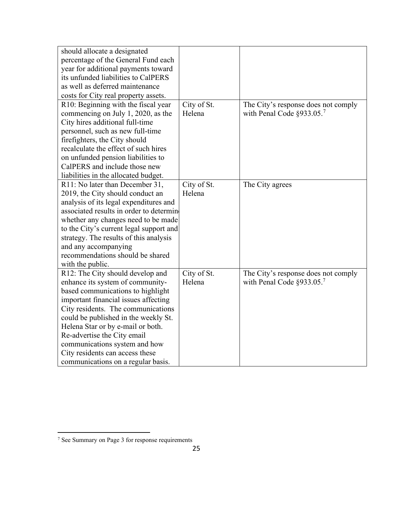| should allocate a designated             |             |                                           |
|------------------------------------------|-------------|-------------------------------------------|
| percentage of the General Fund each      |             |                                           |
| year for additional payments toward      |             |                                           |
| its unfunded liabilities to CalPERS      |             |                                           |
| as well as deferred maintenance          |             |                                           |
| costs for City real property assets.     |             |                                           |
| R10: Beginning with the fiscal year      | City of St. | The City's response does not comply       |
| commencing on July 1, 2020, as the       | Helena      | with Penal Code $\S$ 933.05. <sup>7</sup> |
| City hires additional full-time          |             |                                           |
| personnel, such as new full-time         |             |                                           |
| firefighters, the City should            |             |                                           |
| recalculate the effect of such hires     |             |                                           |
| on unfunded pension liabilities to       |             |                                           |
| CalPERS and include those new            |             |                                           |
| liabilities in the allocated budget.     |             |                                           |
| R11: No later than December 31,          | City of St. | The City agrees                           |
| 2019, the City should conduct an         | Helena      |                                           |
| analysis of its legal expenditures and   |             |                                           |
| associated results in order to determine |             |                                           |
| whether any changes need to be made      |             |                                           |
| to the City's current legal support and  |             |                                           |
| strategy. The results of this analysis   |             |                                           |
| and any accompanying                     |             |                                           |
| recommendations should be shared         |             |                                           |
| with the public.                         |             |                                           |
| R12: The City should develop and         | City of St. | The City's response does not comply       |
| enhance its system of community-         | Helena      | with Penal Code $\S$ 933.05. <sup>7</sup> |
| based communications to highlight        |             |                                           |
| important financial issues affecting     |             |                                           |
| City residents. The communications       |             |                                           |
| could be published in the weekly St.     |             |                                           |
| Helena Star or by e-mail or both.        |             |                                           |
| Re-advertise the City email              |             |                                           |
| communications system and how            |             |                                           |
| City residents can access these          |             |                                           |
| communications on a regular basis.       |             |                                           |

<span id="page-24-0"></span><sup>7</sup> See Summary on Page 3 for response requirements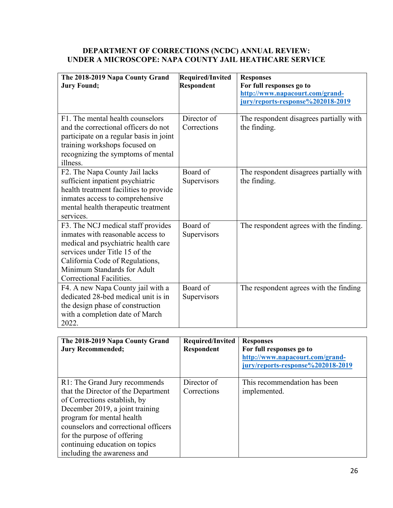#### **DEPARTMENT OF CORRECTIONS (NCDC) ANNUAL REVIEW: UNDER A MICROSCOPE: NAPA COUNTY JAIL HEATHCARE SERVICE**

| The 2018-2019 Napa County Grand<br><b>Jury Found;</b>                                                                                                                                                                                                                         | <b>Required/Invited</b><br><b>Respondent</b> | <b>Responses</b><br>For full responses go to<br>http://www.napacourt.com/grand-                                      |
|-------------------------------------------------------------------------------------------------------------------------------------------------------------------------------------------------------------------------------------------------------------------------------|----------------------------------------------|----------------------------------------------------------------------------------------------------------------------|
|                                                                                                                                                                                                                                                                               |                                              | jury/reports-response%202018-2019                                                                                    |
| F1. The mental health counselors<br>and the correctional officers do not<br>participate on a regular basis in joint<br>training workshops focused on<br>recognizing the symptoms of mental<br>illness.                                                                        | Director of<br>Corrections                   | The respondent disagrees partially with<br>the finding.                                                              |
| F2. The Napa County Jail lacks<br>sufficient inpatient psychiatric<br>health treatment facilities to provide<br>inmates access to comprehensive<br>mental health therapeutic treatment<br>services.                                                                           | Board of<br>Supervisors                      | The respondent disagrees partially with<br>the finding.                                                              |
| F3. The NCJ medical staff provides<br>inmates with reasonable access to<br>medical and psychiatric health care<br>services under Title 15 of the<br>California Code of Regulations,<br>Minimum Standards for Adult<br>Correctional Facilities.                                | Board of<br>Supervisors                      | The respondent agrees with the finding.                                                                              |
| F4. A new Napa County jail with a<br>dedicated 28-bed medical unit is in<br>the design phase of construction<br>with a completion date of March<br>2022.                                                                                                                      | Board of<br>Supervisors                      | The respondent agrees with the finding                                                                               |
|                                                                                                                                                                                                                                                                               |                                              |                                                                                                                      |
| The 2018-2019 Napa County Grand<br><b>Jury Recommended;</b>                                                                                                                                                                                                                   | Required/Invited<br>Respondent               | <b>Responses</b><br>For full responses go to<br>http://www.napacourt.com/grand-<br>jury/reports-response%202018-2019 |
| R1: The Grand Jury recommends<br>that the Director of the Department<br>of Corrections establish, by<br>December 2019, a joint training<br>program for mental health<br>counselors and correctional officers<br>for the purpose of offering<br>continuing education on topics | Director of<br>Corrections                   | This recommendation has been<br>implemented.                                                                         |

including the awareness and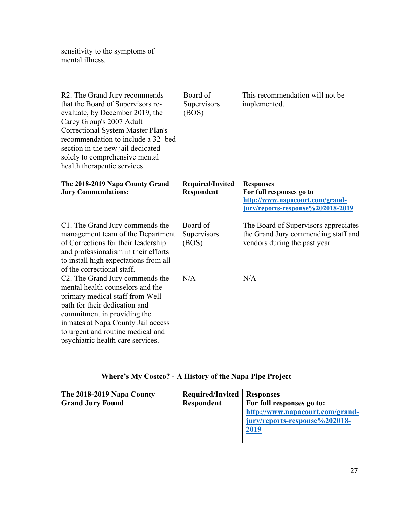| sensitivity to the symptoms of<br>mental illness.                                                                                                                                                                                                                                                                                        |                                  |                                                 |
|------------------------------------------------------------------------------------------------------------------------------------------------------------------------------------------------------------------------------------------------------------------------------------------------------------------------------------------|----------------------------------|-------------------------------------------------|
| R <sub>2</sub> . The Grand Jury recommends<br>that the Board of Supervisors re-<br>evaluate, by December 2019, the<br>Carey Group's 2007 Adult<br><b>Correctional System Master Plan's</b><br>recommendation to include a 32- bed<br>section in the new jail dedicated<br>solely to comprehensive mental<br>health therapeutic services. | Board of<br>Supervisors<br>(BOS) | This recommendation will not be<br>implemented. |

| The 2018-2019 Napa County Grand<br><b>Jury Commendations;</b>                                                                                                                                                                                                                          | Required/Invited<br><b>Respondent</b> | <b>Responses</b><br>For full responses go to<br>http://www.napacourt.com/grand-<br>jury/reports-response%202018-2019 |
|----------------------------------------------------------------------------------------------------------------------------------------------------------------------------------------------------------------------------------------------------------------------------------------|---------------------------------------|----------------------------------------------------------------------------------------------------------------------|
| C1. The Grand Jury commends the<br>management team of the Department<br>of Corrections for their leadership<br>and professionalism in their efforts<br>to install high expectations from all<br>of the correctional staff.                                                             | Board of<br>Supervisors<br>(BOS)      | The Board of Supervisors appreciates<br>the Grand Jury commending staff and<br>vendors during the past year          |
| C2. The Grand Jury commends the<br>mental health counselors and the<br>primary medical staff from Well<br>path for their dedication and<br>commitment in providing the<br>inmates at Napa County Jail access<br>to urgent and routine medical and<br>psychiatric health care services. | N/A                                   | N/A                                                                                                                  |

# **Where's My Costco? - A History of the Napa Pipe Project**

| The 2018-2019 Napa County | <b>Required/Invited   Responses</b> |                                 |
|---------------------------|-------------------------------------|---------------------------------|
| <b>Grand Jury Found</b>   | <b>Respondent</b>                   | For full responses go to:       |
|                           |                                     | http://www.napacourt.com/grand- |
|                           |                                     | jury/reports-response%202018-   |
|                           |                                     | 2019                            |
|                           |                                     |                                 |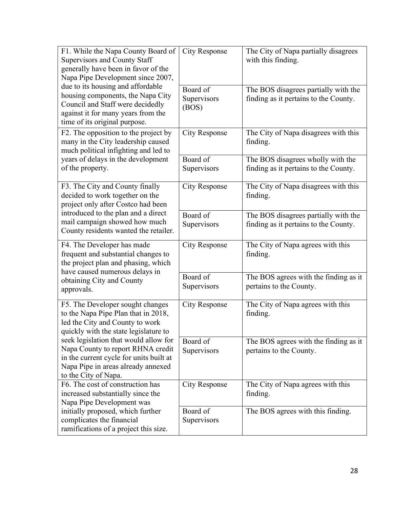| F1. While the Napa County Board of                                         | <b>City Response</b> | The City of Napa partially disagrees                             |
|----------------------------------------------------------------------------|----------------------|------------------------------------------------------------------|
| <b>Supervisors and County Staff</b><br>generally have been in favor of the |                      | with this finding.                                               |
| Napa Pipe Development since 2007,                                          |                      |                                                                  |
| due to its housing and affordable                                          | Board of             | The BOS disagrees partially with the                             |
| housing components, the Napa City                                          | Supervisors          | finding as it pertains to the County.                            |
| Council and Staff were decidedly                                           | (BOS)                |                                                                  |
| against it for many years from the                                         |                      |                                                                  |
| time of its original purpose.                                              |                      |                                                                  |
| F2. The opposition to the project by                                       | <b>City Response</b> | The City of Napa disagrees with this                             |
| many in the City leadership caused                                         |                      | finding.                                                         |
| much political infighting and led to                                       |                      |                                                                  |
| years of delays in the development                                         | Board of             | The BOS disagrees wholly with the                                |
| of the property.                                                           | Supervisors          | finding as it pertains to the County.                            |
| F3. The City and County finally                                            | <b>City Response</b> | The City of Napa disagrees with this                             |
| decided to work together on the                                            |                      | finding.                                                         |
| project only after Costco had been                                         |                      |                                                                  |
| introduced to the plan and a direct                                        | Board of             | The BOS disagrees partially with the                             |
| mail campaign showed how much                                              | Supervisors          | finding as it pertains to the County.                            |
| County residents wanted the retailer.                                      |                      |                                                                  |
|                                                                            | <b>City Response</b> |                                                                  |
| F4. The Developer has made                                                 |                      | The City of Napa agrees with this                                |
| frequent and substantial changes to                                        |                      | finding.                                                         |
| the project plan and phasing, which                                        |                      |                                                                  |
| have caused numerous delays in                                             | Board of             |                                                                  |
| obtaining City and County                                                  | Supervisors          | The BOS agrees with the finding as it<br>pertains to the County. |
| approvals.                                                                 |                      |                                                                  |
| F5. The Developer sought changes                                           | <b>City Response</b> | The City of Napa agrees with this                                |
| to the Napa Pipe Plan that in 2018,                                        |                      | finding.                                                         |
| led the City and County to work                                            |                      |                                                                  |
| quickly with the state legislature to                                      |                      |                                                                  |
| seek legislation that would allow for                                      | Board of             | The BOS agrees with the finding as it                            |
| Napa County to report RHNA credit                                          | Supervisors          | pertains to the County.                                          |
| in the current cycle for units built at                                    |                      |                                                                  |
| Napa Pipe in areas already annexed<br>to the City of Napa.                 |                      |                                                                  |
| F6. The cost of construction has                                           | <b>City Response</b> | The City of Napa agrees with this                                |
| increased substantially since the                                          |                      | finding.                                                         |
| Napa Pipe Development was                                                  |                      |                                                                  |
| initially proposed, which further                                          | Board of             | The BOS agrees with this finding.                                |
| complicates the financial<br>ramifications of a project this size.         | Supervisors          |                                                                  |